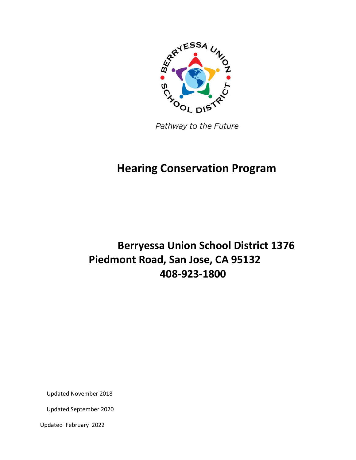

Pathway to the Future

## **Hearing Conservation Program**

# **Berryessa Union School District 1376 Piedmont Road, San Jose, CA 95132 408-923-1800**

Updated November 2018

Updated September 2020

Updated February 2022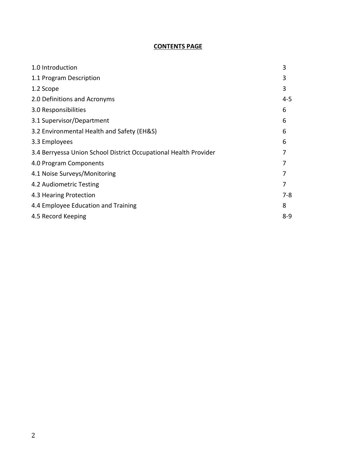## **CONTENTS PAGE**

| 1.0 Introduction                                                 | 3       |
|------------------------------------------------------------------|---------|
| 1.1 Program Description                                          | 3       |
| 1.2 Scope                                                        | 3       |
| 2.0 Definitions and Acronyms                                     | $4 - 5$ |
| 3.0 Responsibilities                                             | 6       |
| 3.1 Supervisor/Department                                        | 6       |
| 3.2 Environmental Health and Safety (EH&S)                       | 6       |
| 3.3 Employees                                                    | 6       |
| 3.4 Berryessa Union School District Occupational Health Provider |         |
| 4.0 Program Components                                           |         |
| 4.1 Noise Surveys/Monitoring                                     | 7       |
| 4.2 Audiometric Testing                                          | 7       |
| 4.3 Hearing Protection                                           | 7-8     |
| 4.4 Employee Education and Training                              | 8       |
| 4.5 Record Keeping                                               | $8 - 9$ |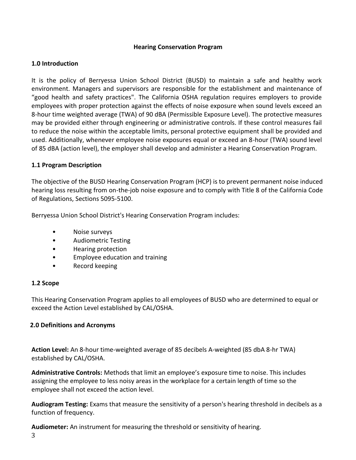#### **Hearing Conservation Program**

#### <span id="page-2-0"></span>**1.0 Introduction**

It is the policy of Berryessa Union School District (BUSD) to maintain a safe and healthy work environment. Managers and supervisors are responsible for the establishment and maintenance of "good health and safety practices". The California OSHA regulation requires employers to provide employees with proper protection against the effects of noise exposure when sound levels exceed an 8-hour time weighted average (TWA) of 90 dBA (Permissible Exposure Level). The protective measures may be provided either through engineering or administrative controls. If these control measures fail to reduce the noise within the acceptable limits, personal protective equipment shall be provided and used. Additionally, whenever employee noise exposures equal or exceed an 8-hour (TWA) sound level of 85 dBA (action level), the employer shall develop and administer a Hearing Conservation Program.

#### <span id="page-2-1"></span>**1.1 Program Description**

The objective of the BUSD Hearing Conservation Program (HCP) is to prevent permanent noise induced hearing loss resulting from on-the-job noise exposure and to comply with Title 8 of the California Code of Regulations, Sections 5095-5100.

Berryessa Union School District's Hearing Conservation Program includes:

- Noise surveys
- Audiometric Testing
- Hearing protection
- Employee education and training
- <span id="page-2-3"></span>• Record keeping

## <span id="page-2-2"></span>**1.2 Scope**

This Hearing Conservation Program applies to all employees of BUSD who are determined to equal or exceed the Action Level established by CAL/OSHA.

## **2.0 Definitions and Acronyms**

**Action Level:** An 8-hour time-weighted average of 85 decibels A-weighted (85 dbA 8-hr TWA) established by CAL/OSHA.

**Administrative Controls:** Methods that limit an employee's exposure time to noise. This includes assigning the employee to less noisy areas in the workplace for a certain length of time so the employee shall not exceed the action level.

**Audiogram Testing:** Exams that measure the sensitivity of a person's hearing threshold in decibels as a function of frequency.

**Audiometer:** An instrument for measuring the threshold or sensitivity of hearing.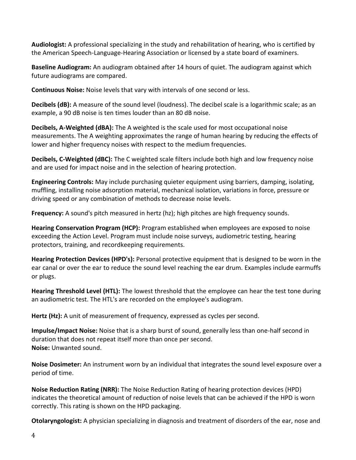**Audiologist:** A professional specializing in the study and rehabilitation of hearing, who is certified by the American Speech-Language-Hearing Association or licensed by a state board of examiners.

**Baseline Audiogram:** An audiogram obtained after 14 hours of quiet. The audiogram against which future audiograms are compared.

**Continuous Noise:** Noise levels that vary with intervals of one second or less.

**Decibels (dB):** A measure of the sound level (loudness). The decibel scale is a logarithmic scale; as an example, a 90 dB noise is ten times louder than an 80 dB noise.

**Decibels, A-Weighted (dBA):** The A weighted is the scale used for most occupational noise measurements. The A weighting approximates the range of human hearing by reducing the effects of lower and higher frequency noises with respect to the medium frequencies.

**Decibels, C-Weighted (dBC):** The C weighted scale filters include both high and low frequency noise and are used for impact noise and in the selection of hearing protection.

**Engineering Controls:** May include purchasing quieter equipment using barriers, damping, isolating, muffling, installing noise adsorption material, mechanical isolation, variations in force, pressure or driving speed or any combination of methods to decrease noise levels.

**Frequency:** A sound's pitch measured in hertz (hz); high pitches are high frequency sounds.

**Hearing Conservation Program (HCP):** Program established when employees are exposed to noise exceeding the Action Level. Program must include noise surveys, audiometric testing, hearing protectors, training, and recordkeeping requirements.

**Hearing Protection Devices (HPD's):** Personal protective equipment that is designed to be worn in the ear canal or over the ear to reduce the sound level reaching the ear drum. Examples include earmuffs or plugs.

**Hearing Threshold Level (HTL):** The lowest threshold that the employee can hear the test tone during an audiometric test. The HTL's are recorded on the employee's audiogram.

**Hertz (Hz):** A unit of measurement of frequency, expressed as cycles per second.

**Impulse/Impact Noise:** Noise that is a sharp burst of sound, generally less than one-half second in duration that does not repeat itself more than once per second. **Noise:** Unwanted sound.

**Noise Dosimeter:** An instrument worn by an individual that integrates the sound level exposure over a period of time.

**Noise Reduction Rating (NRR):** The Noise Reduction Rating of hearing protection devices (HPD) indicates the theoretical amount of reduction of noise levels that can be achieved if the HPD is worn correctly. This rating is shown on the HPD packaging.

**Otolaryngologist:** A physician specializing in diagnosis and treatment of disorders of the ear, nose and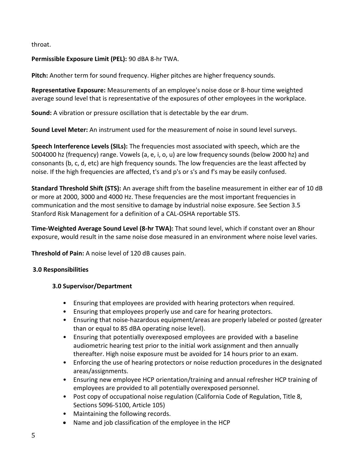throat.

## **Permissible Exposure Limit (PEL):** 90 dBA 8-hr TWA.

**Pitch:** Another term for sound frequency. Higher pitches are higher frequency sounds.

**Representative Exposure:** Measurements of an employee's noise dose or 8-hour time weighted average sound level that is representative of the exposures of other employees in the workplace.

**Sound:** A vibration or pressure oscillation that is detectable by the ear drum.

**Sound Level Meter:** An instrument used for the measurement of noise in sound level surveys.

**Speech Interference Levels (SILs):** The frequencies most associated with speech, which are the 5004000 hz (frequency) range. Vowels (a, e, i, o, u) are low frequency sounds (below 2000 hz) and consonants (b, c, d, etc) are high frequency sounds. The low frequencies are the least affected by noise. If the high frequencies are affected, t's and p's or s's and f's may be easily confused.

**Standard Threshold Shift (STS):** An average shift from the baseline measurement in either ear of 10 dB or more at 2000, 3000 and 4000 Hz. These frequencies are the most important frequencies in communication and the most sensitive to damage by industrial noise exposure. See Section 3.5 Stanford Risk Management for a definition of a CAL-OSHA reportable STS.

**Time-Weighted Average Sound Level (8-hr TWA):** That sound level, which if constant over an 8hour exposure, would result in the same noise dose measured in an environment where noise level varies.

**Threshold of Pain:** A noise level of 120 dB causes pain.

## <span id="page-4-1"></span>**3.0 Responsibilities**

## **3.0 Supervisor/Department**

- <span id="page-4-0"></span>• Ensuring that employees are provided with hearing protectors when required.
- Ensuring that employees properly use and care for hearing protectors.
- Ensuring that noise-hazardous equipment/areas are properly labeled or posted (greater than or equal to 85 dBA operating noise level).
- Ensuring that potentially overexposed employees are provided with a baseline audiometric hearing test prior to the initial work assignment and then annually thereafter. High noise exposure must be avoided for 14 hours prior to an exam.
- Enforcing the use of hearing protectors or noise reduction procedures in the designated areas/assignments.
- Ensuring new employee HCP orientation/training and annual refresher HCP training of employees are provided to all potentially overexposed personnel.
- Post copy of occupational noise regulation (California Code of Regulation, Title 8, Sections 5096-5100, Article 105)
- Maintaining the following records.
- Name and job classification of the employee in the HCP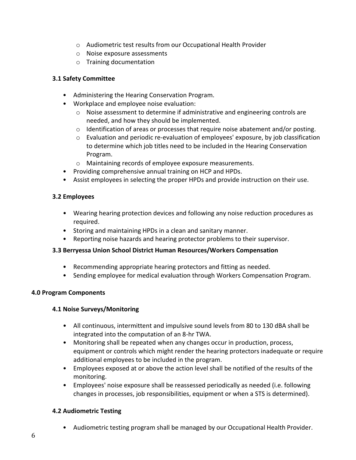- o Audiometric test results from our Occupational Health Provider
- o Noise exposure assessments
- o Training documentation

#### **3.1 Safety Committee**

- Administering the Hearing Conservation Program.
- Workplace and employee noise evaluation:
	- o Noise assessment to determine if administrative and engineering controls are needed, and how they should be implemented.
	- $\circ$  Identification of areas or processes that require noise abatement and/or posting.
	- $\circ$  Evaluation and periodic re-evaluation of employees' exposure, by job classification to determine which job titles need to be included in the Hearing Conservation Program.
	- o Maintaining records of employee exposure measurements.
- Providing comprehensive annual training on HCP and HPDs.
- Assist employees in selecting the proper HPDs and provide instruction on their use.

#### <span id="page-5-0"></span>**3.2 Employees**

- Wearing hearing protection devices and following any noise reduction procedures as required.
- Storing and maintaining HPDs in a clean and sanitary manner.
- Reporting noise hazards and hearing protector problems to their supervisor.

#### **3.3 Berryessa Union School District Human Resources/Workers Compensation**

- Recommending appropriate hearing protectors and fitting as needed.
- Sending employee for medical evaluation through Workers Compensation Program.

#### <span id="page-5-2"></span><span id="page-5-1"></span>**4.0 Program Components**

#### **4.1 Noise Surveys/Monitoring**

- All continuous, intermittent and impulsive sound levels from 80 to 130 dBA shall be integrated into the computation of an 8-hr TWA.
- Monitoring shall be repeated when any changes occur in production, process, equipment or controls which might render the hearing protectors inadequate or require additional employees to be included in the program.
- Employees exposed at or above the action level shall be notified of the results of the monitoring.
- Employees' noise exposure shall be reassessed periodically as needed (i.e. following changes in processes, job responsibilities, equipment or when a STS is determined).

## <span id="page-5-3"></span>**4.2 Audiometric Testing**

• Audiometric testing program shall be managed by our Occupational Health Provider.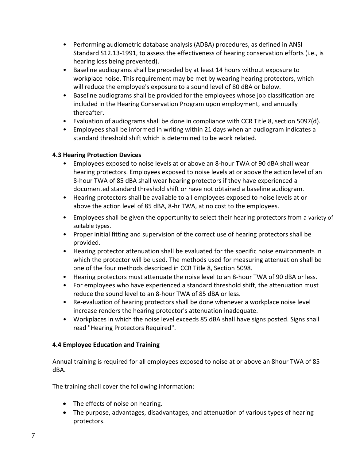- Performing audiometric database analysis (ADBA) procedures, as defined in ANSI Standard S12.13-1991, to assess the effectiveness of hearing conservation efforts (i.e., is hearing loss being prevented).
- Baseline audiograms shall be preceded by at least 14 hours without exposure to workplace noise. This requirement may be met by wearing hearing protectors, which will reduce the employee's exposure to a sound level of 80 dBA or below.
- Baseline audiograms shall be provided for the employees whose job classification are included in the Hearing Conservation Program upon employment, and annually thereafter.
- Evaluation of audiograms shall be done in compliance with CCR Title 8, section 5097(d).
- Employees shall be informed in writing within 21 days when an audiogram indicates a standard threshold shift which is determined to be work related.

## **4.3 Hearing Protection Devices**

- Employees exposed to noise levels at or above an 8-hour TWA of 90 dBA shall wear hearing protectors. Employees exposed to noise levels at or above the action level of an 8-hour TWA of 85 dBA shall wear hearing protectors if they have experienced a documented standard threshold shift or have not obtained a baseline audiogram.
- Hearing protectors shall be available to all employees exposed to noise levels at or above the action level of 85 dBA, 8-hr TWA, at no cost to the employees.
- Employees shall be given the opportunity to select their hearing protectors from a variety of suitable types.
- Proper initial fitting and supervision of the correct use of hearing protectors shall be provided.
- Hearing protector attenuation shall be evaluated for the specific noise environments in which the protector will be used. The methods used for measuring attenuation shall be one of the four methods described in CCR Title 8, Section 5098.
- Hearing protectors must attenuate the noise level to an 8-hour TWA of 90 dBA or less.
- For employees who have experienced a standard threshold shift, the attenuation must reduce the sound level to an 8-hour TWA of 85 dBA or less.
- Re-evaluation of hearing protectors shall be done whenever a workplace noise level increase renders the hearing protector's attenuation inadequate.
- Workplaces in which the noise level exceeds 85 dBA shall have signs posted. Signs shall read "Hearing Protectors Required".

## <span id="page-6-0"></span>**4.4 Employee Education and Training**

Annual training is required for all employees exposed to noise at or above an 8hour TWA of 85 dBA.

The training shall cover the following information:

- The effects of noise on hearing.
- The purpose, advantages, disadvantages, and attenuation of various types of hearing protectors.